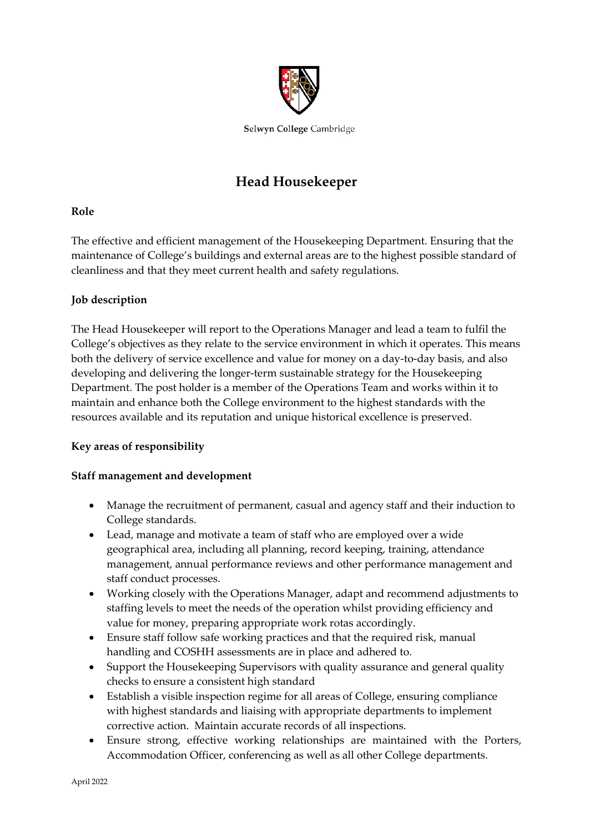

Selwyn College Cambridge

# **Head Housekeeper**

## **Role**

The effective and efficient management of the Housekeeping Department. Ensuring that the maintenance of College's buildings and external areas are to the highest possible standard of cleanliness and that they meet current health and safety regulations.

# **Job description**

The Head Housekeeper will report to the Operations Manager and lead a team to fulfil the College's objectives as they relate to the service environment in which it operates. This means both the delivery of service excellence and value for money on a day-to-day basis, and also developing and delivering the longer-term sustainable strategy for the Housekeeping Department. The post holder is a member of the Operations Team and works within it to maintain and enhance both the College environment to the highest standards with the resources available and its reputation and unique historical excellence is preserved.

## **Key areas of responsibility**

## **Staff management and development**

- Manage the recruitment of permanent, casual and agency staff and their induction to College standards.
- Lead, manage and motivate a team of staff who are employed over a wide geographical area, including all planning, record keeping, training, attendance management, annual performance reviews and other performance management and staff conduct processes.
- Working closely with the Operations Manager, adapt and recommend adjustments to staffing levels to meet the needs of the operation whilst providing efficiency and value for money, preparing appropriate work rotas accordingly.
- Ensure staff follow safe working practices and that the required risk, manual handling and COSHH assessments are in place and adhered to.
- Support the Housekeeping Supervisors with quality assurance and general quality checks to ensure a consistent high standard
- Establish a visible inspection regime for all areas of College, ensuring compliance with highest standards and liaising with appropriate departments to implement corrective action. Maintain accurate records of all inspections.
- Ensure strong, effective working relationships are maintained with the Porters, Accommodation Officer, conferencing as well as all other College departments.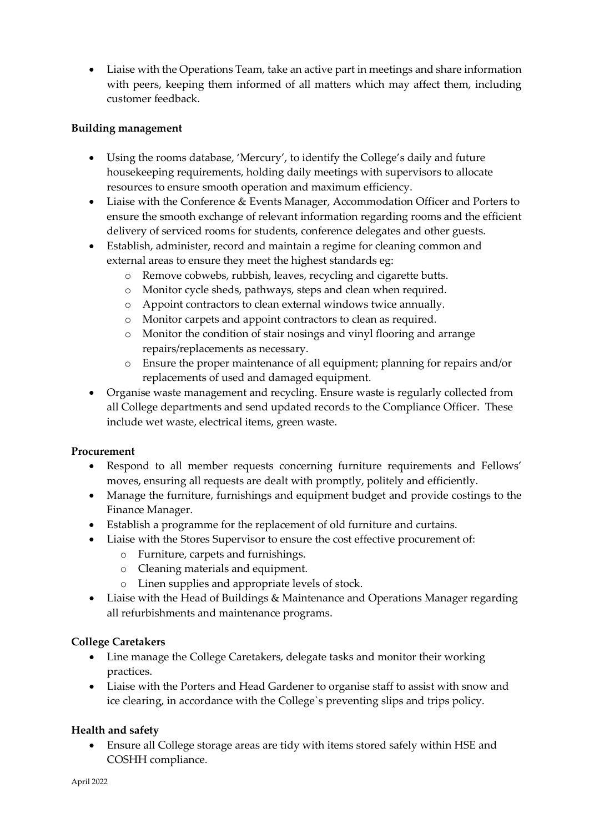• Liaise with the Operations Team, take an active part in meetings and share information with peers, keeping them informed of all matters which may affect them, including customer feedback.

## **Building management**

- Using the rooms database, 'Mercury', to identify the College's daily and future housekeeping requirements, holding daily meetings with supervisors to allocate resources to ensure smooth operation and maximum efficiency.
- Liaise with the Conference & Events Manager, Accommodation Officer and Porters to ensure the smooth exchange of relevant information regarding rooms and the efficient delivery of serviced rooms for students, conference delegates and other guests.
- Establish, administer, record and maintain a regime for cleaning common and external areas to ensure they meet the highest standards eg:
	- o Remove cobwebs, rubbish, leaves, recycling and cigarette butts.
	- o Monitor cycle sheds, pathways, steps and clean when required.
	- o Appoint contractors to clean external windows twice annually.
	- o Monitor carpets and appoint contractors to clean as required.
	- o Monitor the condition of stair nosings and vinyl flooring and arrange repairs/replacements as necessary.
	- o Ensure the proper maintenance of all equipment; planning for repairs and/or replacements of used and damaged equipment.
- Organise waste management and recycling. Ensure waste is regularly collected from all College departments and send updated records to the Compliance Officer. These include wet waste, electrical items, green waste.

#### **Procurement**

- Respond to all member requests concerning furniture requirements and Fellows' moves, ensuring all requests are dealt with promptly, politely and efficiently.
- Manage the furniture, furnishings and equipment budget and provide costings to the Finance Manager.
- Establish a programme for the replacement of old furniture and curtains.
- Liaise with the Stores Supervisor to ensure the cost effective procurement of:
	- o Furniture, carpets and furnishings.
	- o Cleaning materials and equipment.
	- o Linen supplies and appropriate levels of stock.
- Liaise with the Head of Buildings & Maintenance and Operations Manager regarding all refurbishments and maintenance programs.

## **College Caretakers**

- Line manage the College Caretakers, delegate tasks and monitor their working practices.
- Liaise with the Porters and Head Gardener to organise staff to assist with snow and ice clearing, in accordance with the College`s preventing slips and trips policy.

## **Health and safety**

• Ensure all College storage areas are tidy with items stored safely within HSE and COSHH compliance.